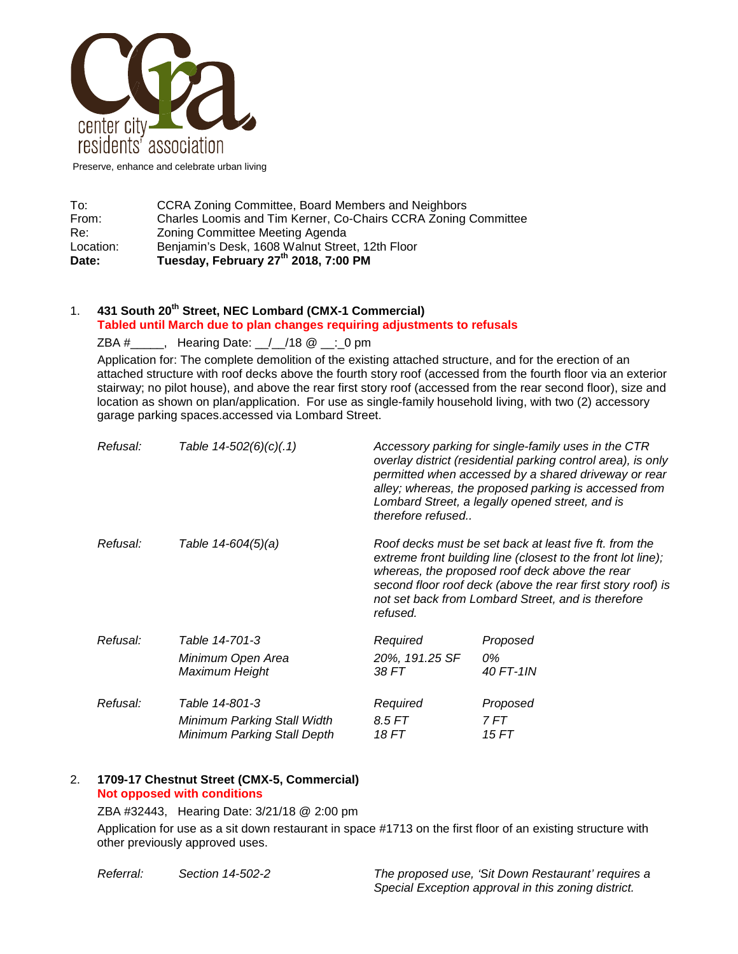

Preserve, enhance and celebrate urban living

| Date:     | Tuesday, February 27 <sup>th</sup> 2018, 7:00 PM               |  |  |
|-----------|----------------------------------------------------------------|--|--|
| Location: | Benjamin's Desk, 1608 Walnut Street, 12th Floor                |  |  |
| Re:       | Zoning Committee Meeting Agenda                                |  |  |
| From:     | Charles Loomis and Tim Kerner, Co-Chairs CCRA Zoning Committee |  |  |
| To:       | CCRA Zoning Committee, Board Members and Neighbors             |  |  |

## 1. **431 South 20th Street, NEC Lombard (CMX-1 Commercial) Tabled until March due to plan changes requiring adjustments to refusals**

ZBA #\_\_\_\_\_, Hearing Date: \_\_/\_\_/18 @ \_\_:\_0 pm

Application for: The complete demolition of the existing attached structure, and for the erection of an attached structure with roof decks above the fourth story roof (accessed from the fourth floor via an exterior stairway; no pilot house), and above the rear first story roof (accessed from the rear second floor), size and location as shown on plan/application. For use as single-family household living, with two (2) accessory garage parking spaces.accessed via Lombard Street.

| Refusal: | Table $14-502(6)(c)(.1)$    | therefore refused                                                                                                                                                                                                                                                                                         | Accessory parking for single-family uses in the CTR<br>overlay district (residential parking control area), is only<br>permitted when accessed by a shared driveway or rear<br>alley; whereas, the proposed parking is accessed from<br>Lombard Street, a legally opened street, and is |
|----------|-----------------------------|-----------------------------------------------------------------------------------------------------------------------------------------------------------------------------------------------------------------------------------------------------------------------------------------------------------|-----------------------------------------------------------------------------------------------------------------------------------------------------------------------------------------------------------------------------------------------------------------------------------------|
| Refusal: | Table 14-604(5)(a)          | Roof decks must be set back at least five ft. from the<br>extreme front building line (closest to the front lot line);<br>whereas, the proposed roof deck above the rear<br>second floor roof deck (above the rear first story roof) is<br>not set back from Lombard Street, and is therefore<br>refused. |                                                                                                                                                                                                                                                                                         |
| Refusal: | Table 14-701-3              | Required                                                                                                                                                                                                                                                                                                  | Proposed                                                                                                                                                                                                                                                                                |
|          | Minimum Open Area           | 20%, 191.25 SF                                                                                                                                                                                                                                                                                            | 0%                                                                                                                                                                                                                                                                                      |
|          | Maximum Height              | 38 FT                                                                                                                                                                                                                                                                                                     | 40 FT-1IN                                                                                                                                                                                                                                                                               |
| Refusal: | Table 14-801-3              | Required                                                                                                                                                                                                                                                                                                  | Proposed                                                                                                                                                                                                                                                                                |
|          | Minimum Parking Stall Width | 8.5 FT                                                                                                                                                                                                                                                                                                    | 7 FT                                                                                                                                                                                                                                                                                    |
|          | Minimum Parking Stall Depth | 18 FT                                                                                                                                                                                                                                                                                                     | 15 FT                                                                                                                                                                                                                                                                                   |

## 2. **1709-17 Chestnut Street (CMX-5, Commercial) Not opposed with conditions**

ZBA #32443, Hearing Date: 3/21/18 @ 2:00 pm

Application for use as a sit down restaurant in space #1713 on the first floor of an existing structure with other previously approved uses.

*Referral: Section 14-502-2 The proposed use, 'Sit Down Restaurant' requires a Special Exception approval in this zoning district.*